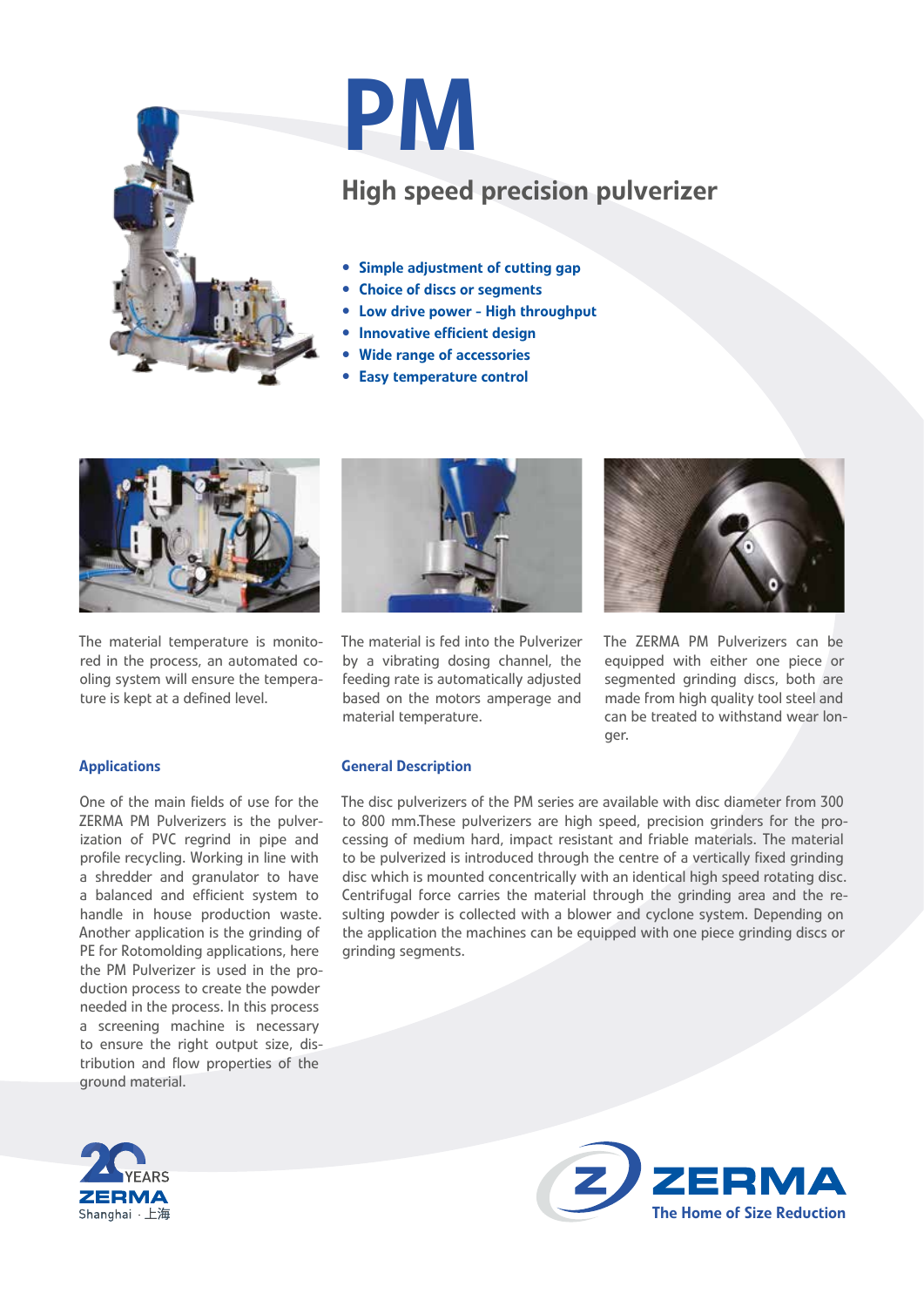

# PM High speed precision pulverizer

- Simple adjustment of cutting gap
- Choice of discs or segments
- Low drive power High throughput
- Innovative efficient design
- Wide range of accessories
- **Easy temperature control**



The material temperature is monitored in the process, an automated cooling system will ensure the temperature is kept at a defined level.

One of the main fields of use for the ZERMA PM Pulverizers is the pulverization of PVC regrind in pipe and profile recycling. Working in line with a shredder and granulator to have a balanced and efficient system to handle in house production waste. Another application is the grinding of PE for Rotomolding applications, here the PM Pulverizer is used in the production process to create the powder needed in the process. In this process a screening machine is necessary to ensure the right output size, distribution and flow properties of the ground material.



The material is fed into the Pulverizer by a vibrating dosing channel, the feeding rate is automatically adjusted based on the motors amperage and material temperature.



The ZERMA PM Pulverizers can be equipped with either one piece or segmented grinding discs, both are made from high quality tool steel and can be treated to withstand wear longer.

## Applications General Description

The disc pulverizers of the PM series are available with disc diameter from 300 to 800 mm.These pulverizers are high speed, precision grinders for the processing of medium hard, impact resistant and friable materials. The material to be pulverized is introduced through the centre of a vertically fixed grinding disc which is mounted concentrically with an identical high speed rotating disc. Centrifugal force carries the material through the grinding area and the resulting powder is collected with a blower and cyclone system. Depending on the application the machines can be equipped with one piece grinding discs or grinding segments.